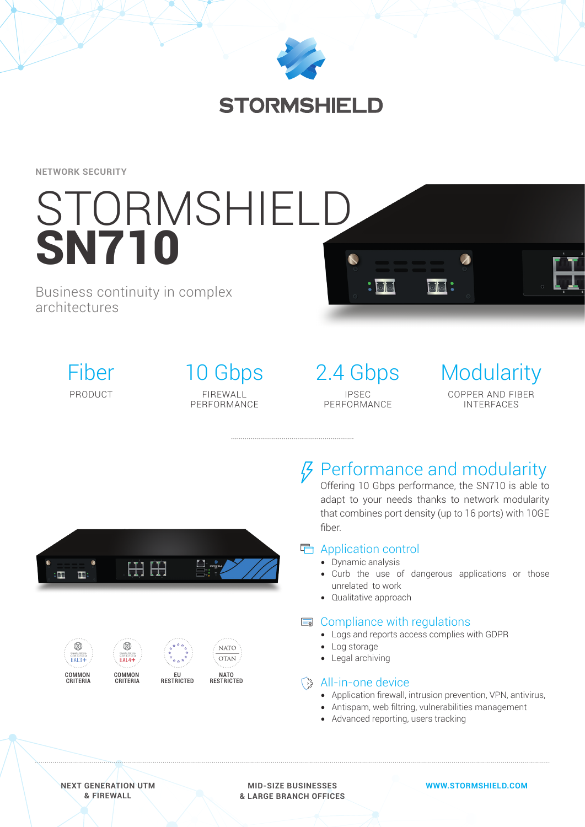

**NETWORK SECURITY**

# STORMSHIELD **SN710**

# Business continuity in complex architectures



10 Gbps FIREWALL PERFORMANCE

2.4 Gbps IPSEC PERFORMANCE

 $\bullet$   $\overline{\circ}$ 







**RESTRICTED**

# *§* Performance and modularity

Offering 10 Gbps performance, the SN710 is able to adapt to your needs thanks to network modularity that combines port density (up to 16 ports) with 10GE fiber.

 $\overline{\circ}$   $\overline{\circ}$  :

## Application control

- Dynamic analysis
- Curb the use of dangerous applications or those unrelated to work
- Qualitative approach

### **E** Compliance with regulations

- Logs and reports access complies with GDPR
- Log storage
- Legal archiving

# िक्क All-in-one device

- Application firewall, intrusion prevention, VPN, antivirus,
- Antispam, web filtring, vulnerabilities management
- Advanced reporting, users tracking

**NEXT GENERATION UTM & FIREWALL**

**MID-SIZE BUSINESSES & LARGE BRANCH OFFICES** **WWW.STORMSHIELD.COM**